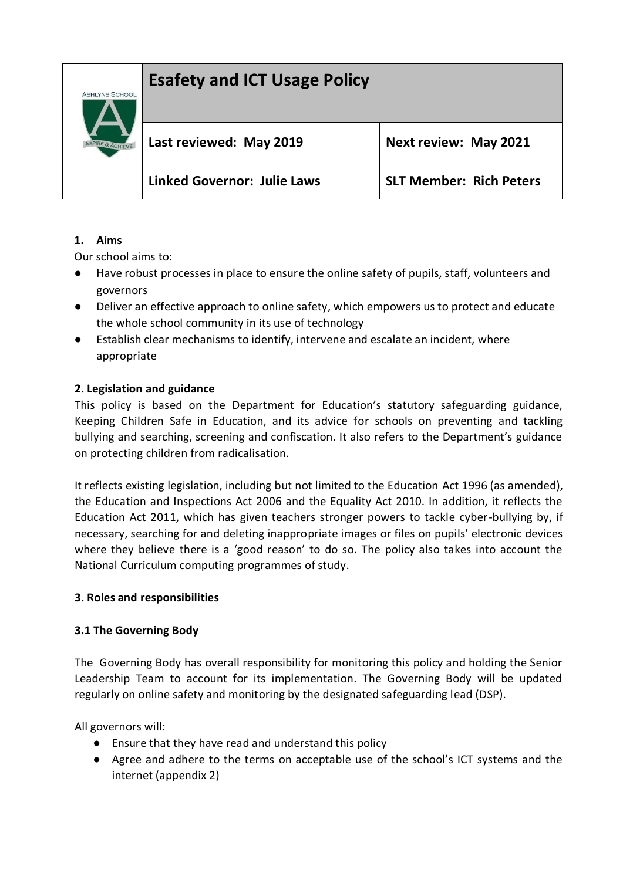# **Esafety and ICT Usage Policy**



| Last reviewed: May 2019            | <b>Next review: May 2021</b>   |
|------------------------------------|--------------------------------|
| <b>Linked Governor: Julie Laws</b> | <b>SLT Member: Rich Peters</b> |

#### **1. Aims**

Our school aims to:

- Have robust processes in place to ensure the online safety of pupils, staff, volunteers and governors
- Deliver an effective approach to online safety, which empowers us to protect and educate the whole school community in its use of technology
- Establish clear mechanisms to identify, intervene and escalate an incident, where appropriate

#### **2. Legislation and guidance**

This policy is based on the Department for Education's statutory safeguarding guidance, Keeping Children Safe in Education, and its advice for schools on preventing and tackling bullying and searching, screening and confiscation. It also refers to the Department's guidance on protecting children from radicalisation.

It reflects existing legislation, including but not limited to the Education Act 1996 (as amended), the Education and Inspections Act 2006 and the Equality Act 2010. In addition, it reflects the Education Act 2011, which has given teachers stronger powers to tackle cyber-bullying by, if necessary, searching for and deleting inappropriate images or files on pupils' electronic devices where they believe there is a 'good reason' to do so. The policy also takes into account the National Curriculum computing programmes of study.

#### **3. Roles and responsibilities**

#### **3.1 The Governing Body**

The Governing Body has overall responsibility for monitoring this policy and holding the Senior Leadership Team to account for its implementation. The Governing Body will be updated regularly on online safety and monitoring by the designated safeguarding lead (DSP).

All governors will:

- Ensure that they have read and understand this policy
- Agree and adhere to the terms on acceptable use of the school's ICT systems and the internet (appendix 2)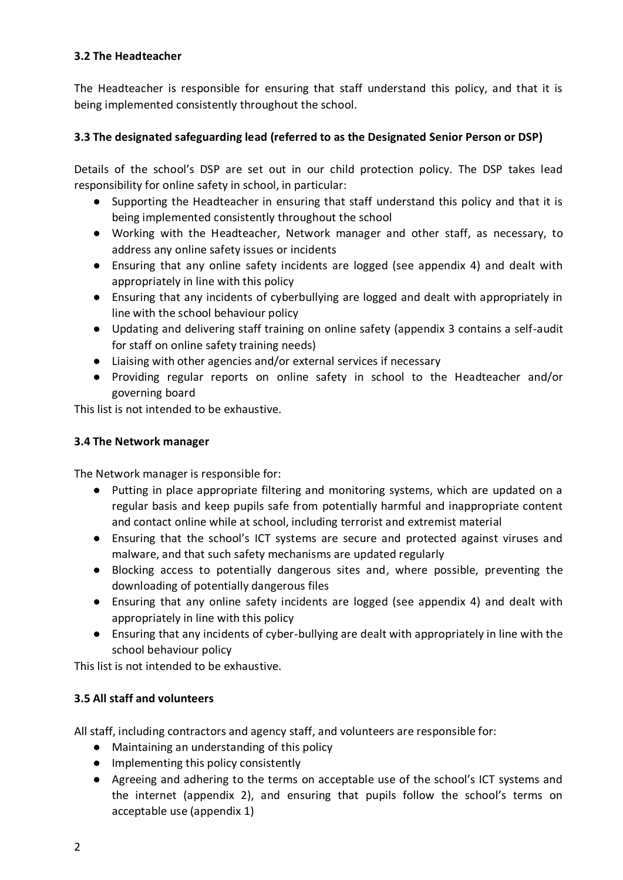#### **3.2 The Headteacher**

The Headteacher is responsible for ensuring that staff understand this policy, and that it is being implemented consistently throughout the school.

### **3.3 The designated safeguarding lead (referred to as the Designated Senior Person or DSP)**

Details of the school's DSP are set out in our child protection policy. The DSP takes lead responsibility for online safety in school, in particular:

- Supporting the Headteacher in ensuring that staff understand this policy and that it is being implemented consistently throughout the school
- Working with the Headteacher, Network manager and other staff, as necessary, to address any online safety issues or incidents
- Ensuring that any online safety incidents are logged (see appendix 4) and dealt with appropriately in line with this policy
- Ensuring that any incidents of cyberbullying are logged and dealt with appropriately in line with the school behaviour policy
- Updating and delivering staff training on online safety (appendix 3 contains a self-audit for staff on online safety training needs)
- Liaising with other agencies and/or external services if necessary
- Providing regular reports on online safety in school to the Headteacher and/or governing board

This list is not intended to be exhaustive.

### **3.4 The Network manager**

The Network manager is responsible for:

- Putting in place appropriate filtering and monitoring systems, which are updated on a regular basis and keep pupils safe from potentially harmful and inappropriate content and contact online while at school, including terrorist and extremist material
- Ensuring that the school's ICT systems are secure and protected against viruses and malware, and that such safety mechanisms are updated regularly
- Blocking access to potentially dangerous sites and, where possible, preventing the downloading of potentially dangerous files
- Ensuring that any online safety incidents are logged (see appendix 4) and dealt with appropriately in line with this policy
- Ensuring that any incidents of cyber-bullying are dealt with appropriately in line with the school behaviour policy

This list is not intended to be exhaustive.

## **3.5 All staff and volunteers**

All staff, including contractors and agency staff, and volunteers are responsible for:

- Maintaining an understanding of this policy
- Implementing this policy consistently
- Agreeing and adhering to the terms on acceptable use of the school's ICT systems and the internet (appendix 2), and ensuring that pupils follow the school's terms on acceptable use (appendix 1)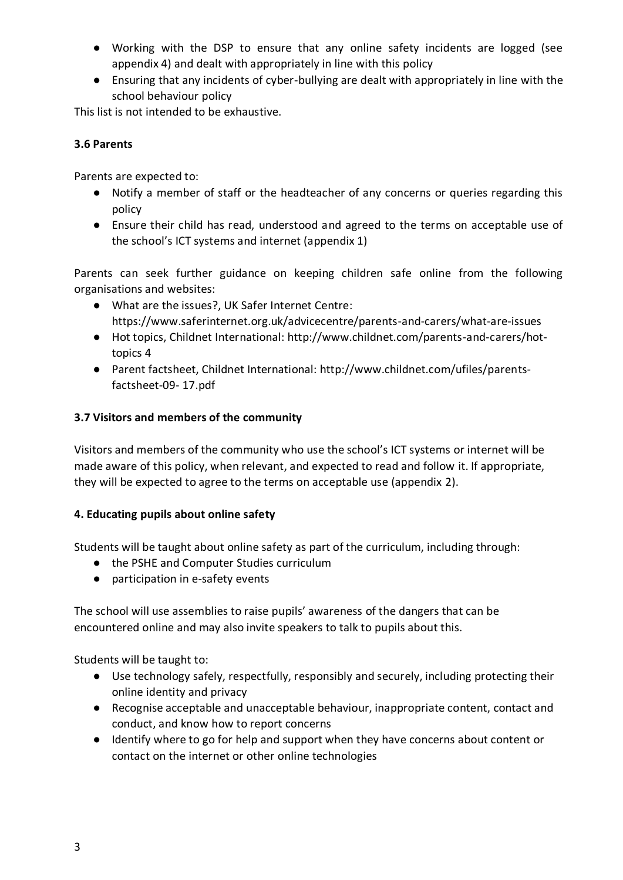- Working with the DSP to ensure that any online safety incidents are logged (see appendix 4) and dealt with appropriately in line with this policy
- Ensuring that any incidents of cyber-bullying are dealt with appropriately in line with the school behaviour policy

This list is not intended to be exhaustive.

## **3.6 Parents**

Parents are expected to:

- Notify a member of staff or the headteacher of any concerns or queries regarding this policy
- Ensure their child has read, understood and agreed to the terms on acceptable use of the school's ICT systems and internet (appendix 1)

Parents can seek further guidance on keeping children safe online from the following organisations and websites:

- What are the issues?, UK Safer Internet Centre: https://www.saferinternet.org.uk/advicecentre/parents-and-carers/what-are-issues
- Hot topics, Childnet International: http://www.childnet.com/parents-and-carers/hottopics 4
- Parent factsheet, Childnet International: http://www.childnet.com/ufiles/parentsfactsheet-09- 17.pdf

## **3.7 Visitors and members of the community**

Visitors and members of the community who use the school's ICT systems or internet will be made aware of this policy, when relevant, and expected to read and follow it. If appropriate, they will be expected to agree to the terms on acceptable use (appendix 2).

## **4. Educating pupils about online safety**

Students will be taught about online safety as part of the curriculum, including through:

- the PSHE and Computer Studies curriculum
- participation in e-safety events

The school will use assemblies to raise pupils' awareness of the dangers that can be encountered online and may also invite speakers to talk to pupils about this.

Students will be taught to:

- Use technology safely, respectfully, responsibly and securely, including protecting their online identity and privacy
- Recognise acceptable and unacceptable behaviour, inappropriate content, contact and conduct, and know how to report concerns
- Identify where to go for help and support when they have concerns about content or contact on the internet or other online technologies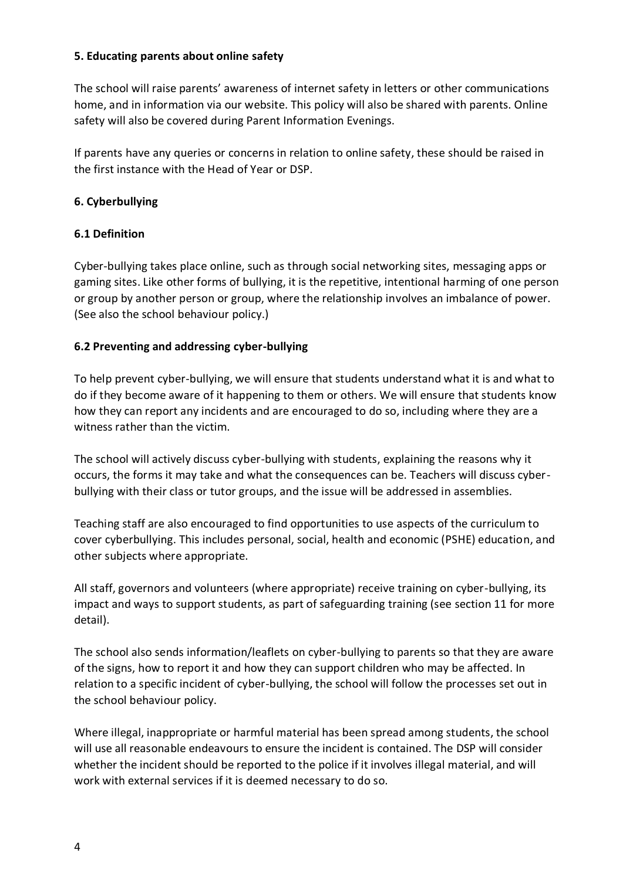#### **5. Educating parents about online safety**

The school will raise parents' awareness of internet safety in letters or other communications home, and in information via our website. This policy will also be shared with parents. Online safety will also be covered during Parent Information Evenings.

If parents have any queries or concerns in relation to online safety, these should be raised in the first instance with the Head of Year or DSP.

#### **6. Cyberbullying**

#### **6.1 Definition**

Cyber-bullying takes place online, such as through social networking sites, messaging apps or gaming sites. Like other forms of bullying, it is the repetitive, intentional harming of one person or group by another person or group, where the relationship involves an imbalance of power. (See also the school behaviour policy.)

#### **6.2 Preventing and addressing cyber-bullying**

To help prevent cyber-bullying, we will ensure that students understand what it is and what to do if they become aware of it happening to them or others. We will ensure that students know how they can report any incidents and are encouraged to do so, including where they are a witness rather than the victim.

The school will actively discuss cyber-bullying with students, explaining the reasons why it occurs, the forms it may take and what the consequences can be. Teachers will discuss cyberbullying with their class or tutor groups, and the issue will be addressed in assemblies.

Teaching staff are also encouraged to find opportunities to use aspects of the curriculum to cover cyberbullying. This includes personal, social, health and economic (PSHE) education, and other subjects where appropriate.

All staff, governors and volunteers (where appropriate) receive training on cyber-bullying, its impact and ways to support students, as part of safeguarding training (see section 11 for more detail).

The school also sends information/leaflets on cyber-bullying to parents so that they are aware of the signs, how to report it and how they can support children who may be affected. In relation to a specific incident of cyber-bullying, the school will follow the processes set out in the school behaviour policy.

Where illegal, inappropriate or harmful material has been spread among students, the school will use all reasonable endeavours to ensure the incident is contained. The DSP will consider whether the incident should be reported to the police if it involves illegal material, and will work with external services if it is deemed necessary to do so.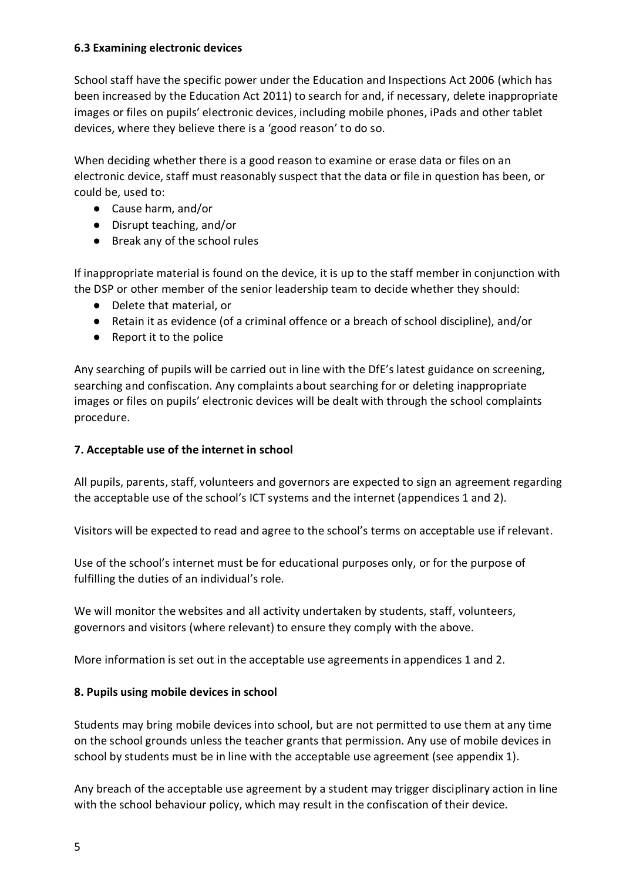#### **6.3 Examining electronic devices**

School staff have the specific power under the Education and Inspections Act 2006 (which has been increased by the Education Act 2011) to search for and, if necessary, delete inappropriate images or files on pupils' electronic devices, including mobile phones, iPads and other tablet devices, where they believe there is a 'good reason' to do so.

When deciding whether there is a good reason to examine or erase data or files on an electronic device, staff must reasonably suspect that the data or file in question has been, or could be, used to:

- Cause harm, and/or
- Disrupt teaching, and/or
- Break any of the school rules

If inappropriate material is found on the device, it is up to the staff member in conjunction with the DSP or other member of the senior leadership team to decide whether they should:

- Delete that material, or
- Retain it as evidence (of a criminal offence or a breach of school discipline), and/or
- Report it to the police

Any searching of pupils will be carried out in line with the DfE's latest guidance on screening, searching and confiscation. Any complaints about searching for or deleting inappropriate images or files on pupils' electronic devices will be dealt with through the school complaints procedure.

#### **7. Acceptable use of the internet in school**

All pupils, parents, staff, volunteers and governors are expected to sign an agreement regarding the acceptable use of the school's ICT systems and the internet (appendices 1 and 2).

Visitors will be expected to read and agree to the school's terms on acceptable use if relevant.

Use of the school's internet must be for educational purposes only, or for the purpose of fulfilling the duties of an individual's role.

We will monitor the websites and all activity undertaken by students, staff, volunteers, governors and visitors (where relevant) to ensure they comply with the above.

More information is set out in the acceptable use agreements in appendices 1 and 2.

#### **8. Pupils using mobile devices in school**

Students may bring mobile devices into school, but are not permitted to use them at any time on the school grounds unless the teacher grants that permission. Any use of mobile devices in school by students must be in line with the acceptable use agreement (see appendix 1).

Any breach of the acceptable use agreement by a student may trigger disciplinary action in line with the school behaviour policy, which may result in the confiscation of their device.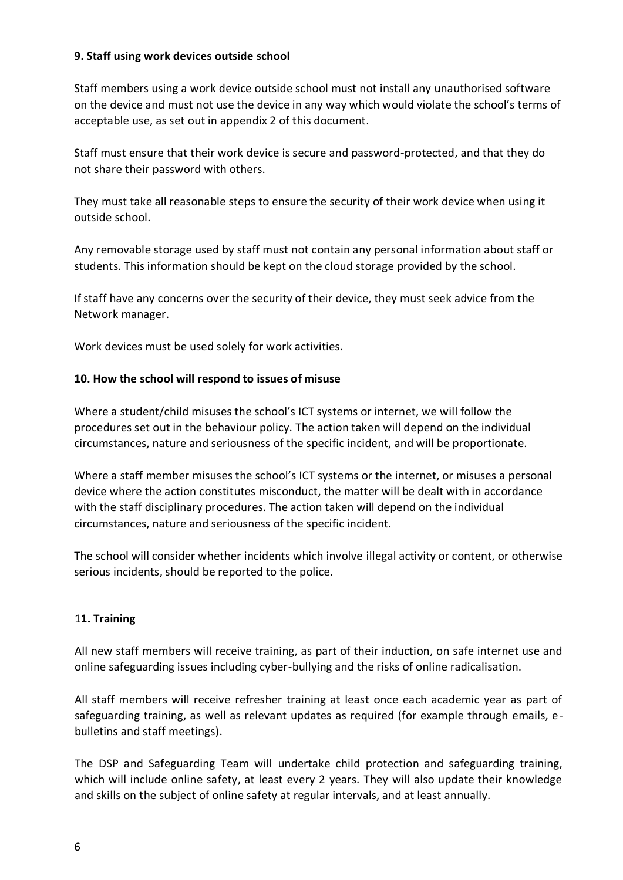#### **9. Staff using work devices outside school**

Staff members using a work device outside school must not install any unauthorised software on the device and must not use the device in any way which would violate the school's terms of acceptable use, as set out in appendix 2 of this document.

Staff must ensure that their work device is secure and password-protected, and that they do not share their password with others.

They must take all reasonable steps to ensure the security of their work device when using it outside school.

Any removable storage used by staff must not contain any personal information about staff or students. This information should be kept on the cloud storage provided by the school.

If staff have any concerns over the security of their device, they must seek advice from the Network manager.

Work devices must be used solely for work activities.

#### **10. How the school will respond to issues of misuse**

Where a student/child misuses the school's ICT systems or internet, we will follow the procedures set out in the behaviour policy. The action taken will depend on the individual circumstances, nature and seriousness of the specific incident, and will be proportionate.

Where a staff member misuses the school's ICT systems or the internet, or misuses a personal device where the action constitutes misconduct, the matter will be dealt with in accordance with the staff disciplinary procedures. The action taken will depend on the individual circumstances, nature and seriousness of the specific incident.

The school will consider whether incidents which involve illegal activity or content, or otherwise serious incidents, should be reported to the police.

#### 1**1. Training**

All new staff members will receive training, as part of their induction, on safe internet use and online safeguarding issues including cyber-bullying and the risks of online radicalisation.

All staff members will receive refresher training at least once each academic year as part of safeguarding training, as well as relevant updates as required (for example through emails, ebulletins and staff meetings).

The DSP and Safeguarding Team will undertake child protection and safeguarding training, which will include online safety, at least every 2 years. They will also update their knowledge and skills on the subject of online safety at regular intervals, and at least annually.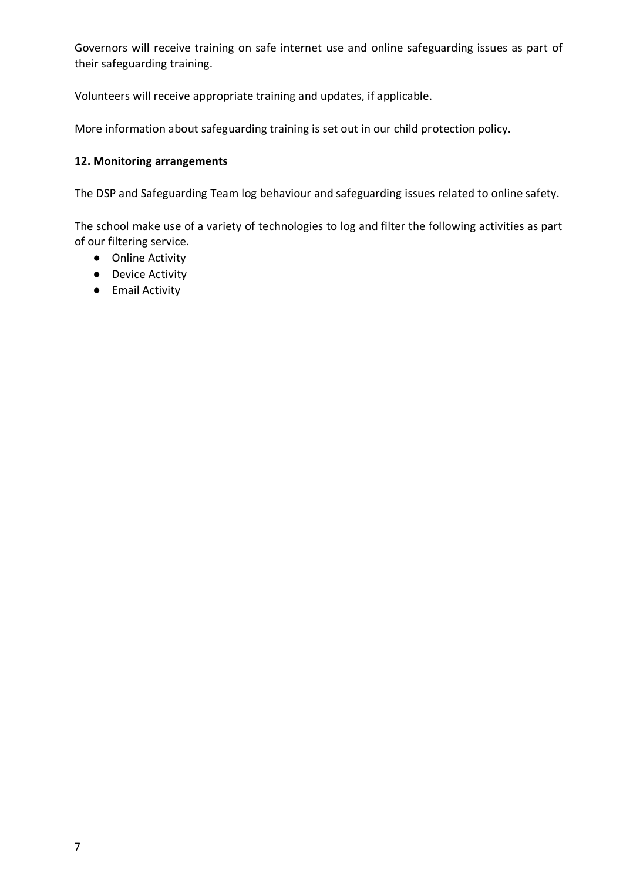Governors will receive training on safe internet use and online safeguarding issues as part of their safeguarding training.

Volunteers will receive appropriate training and updates, if applicable.

More information about safeguarding training is set out in our child protection policy.

#### **12. Monitoring arrangements**

The DSP and Safeguarding Team log behaviour and safeguarding issues related to online safety.

The school make use of a variety of technologies to log and filter the following activities as part of our filtering service.

- Online Activity
- Device Activity
- Email Activity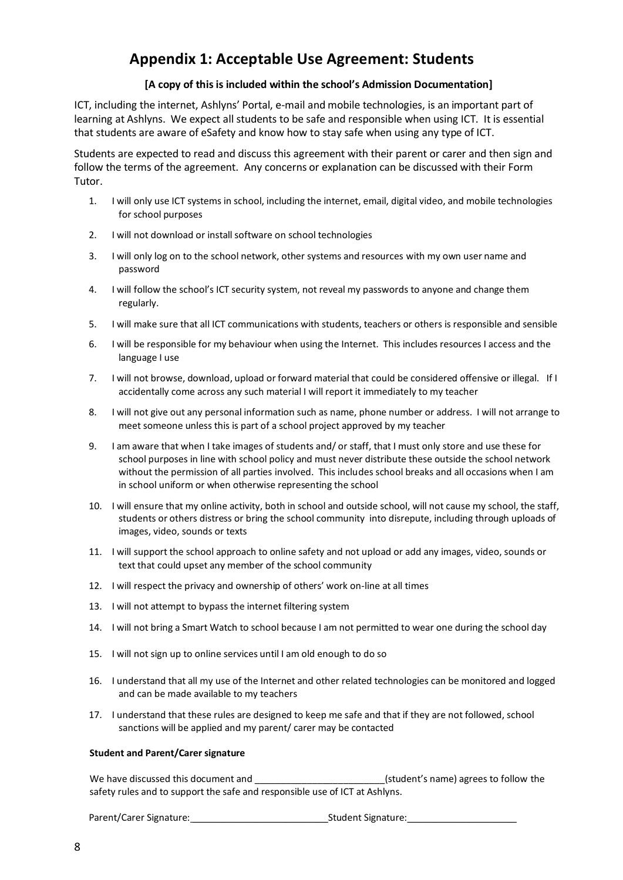## **Appendix 1: Acceptable Use Agreement: Students**

#### **[A copy of this is included within the school's Admission Documentation]**

ICT, including the internet, Ashlyns' Portal, e-mail and mobile technologies, is an important part of learning at Ashlyns. We expect all students to be safe and responsible when using ICT. It is essential that students are aware of eSafety and know how to stay safe when using any type of ICT.

Students are expected to read and discuss this agreement with their parent or carer and then sign and follow the terms of the agreement. Any concerns or explanation can be discussed with their Form Tutor.

- 1. I will only use ICT systems in school, including the internet, email, digital video, and mobile technologies for school purposes
- 2. I will not download or install software on school technologies
- 3. I will only log on to the school network, other systems and resources with my own user name and password
- 4. I will follow the school's ICT security system, not reveal my passwords to anyone and change them regularly.
- 5. I will make sure that all ICT communications with students, teachers or others is responsible and sensible
- 6. I will be responsible for my behaviour when using the Internet. This includes resources I access and the language I use
- 7. I will not browse, download, upload or forward material that could be considered offensive or illegal. If I accidentally come across any such material I will report it immediately to my teacher
- 8. I will not give out any personal information such as name, phone number or address. I will not arrange to meet someone unless this is part of a school project approved by my teacher
- 9. I am aware that when I take images of students and/ or staff, that I must only store and use these for school purposes in line with school policy and must never distribute these outside the school network without the permission of all parties involved. This includes school breaks and all occasions when I am in school uniform or when otherwise representing the school
- 10. I will ensure that my online activity, both in school and outside school, will not cause my school, the staff, students or others distress or bring the school community into disrepute, including through uploads of images, video, sounds or texts
- 11. I will support the school approach to online safety and not upload or add any images, video, sounds or text that could upset any member of the school community
- 12. I will respect the privacy and ownership of others' work on-line at all times
- 13. I will not attempt to bypass the internet filtering system
- 14. I will not bring a Smart Watch to school because I am not permitted to wear one during the school day
- 15. I will not sign up to online services until I am old enough to do so
- 16. I understand that all my use of the Internet and other related technologies can be monitored and logged and can be made available to my teachers
- 17. I understand that these rules are designed to keep me safe and that if they are not followed, school sanctions will be applied and my parent/ carer may be contacted

#### **Student and Parent/Carer signature**

We have discussed this document and \_\_\_\_\_\_\_\_\_\_\_\_\_\_\_\_\_\_\_\_\_\_\_\_\_\_\_\_\_(student's name) agrees to follow the safety rules and to support the safe and responsible use of ICT at Ashlyns.

Parent/Carer Signature: \_\_\_\_\_\_\_\_\_\_\_\_\_\_\_\_\_\_\_\_\_\_\_\_\_\_Student Signature:\_\_\_\_\_\_\_\_\_\_\_\_\_\_\_\_\_\_\_\_\_